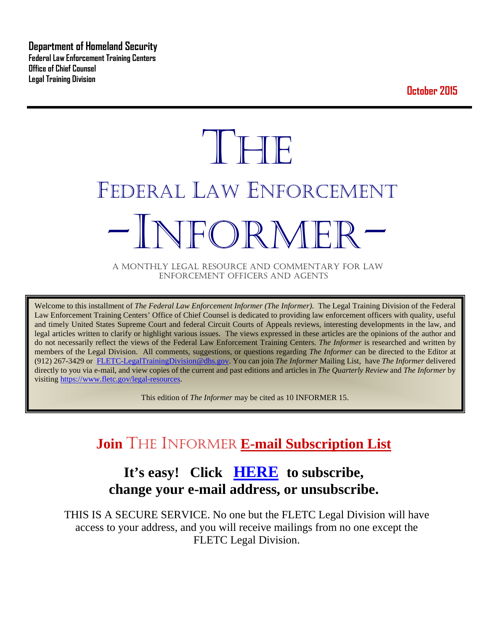**Department of Homeland Security Federal Law Enforcement Training Centers Office of Chief Counsel Legal Training Division** 

**October 2015**

# **THE** FEDERAL LAW ENFORCEMENT -INFORMER- A MONTHLY LEGAL RESOURCE AND COMMENTARY FOR LAW

ENFORCEMENT OFFICERS AND AGENTS

Welcome to this installment of *The Federal Law Enforcement Informer (The Informer).* The Legal Training Division of the Federal Law Enforcement Training Centers' Office of Chief Counsel is dedicated to providing law enforcement officers with quality, useful and timely United States Supreme Court and federal Circuit Courts of Appeals reviews, interesting developments in the law, and legal articles written to clarify or highlight various issues. The views expressed in these articles are the opinions of the author and do not necessarily reflect the views of the Federal Law Enforcement Training Centers. *The Informer* is researched and written by members of the Legal Division. All comments, suggestions, or questions regarding *The Informer* can be directed to the Editor at (912) 267-3429 or [FLETC-LegalTrainingDivision@dhs.gov.](mailto:FLETC-LegalTrainingDivision@dhs.gov) You can join *The Informer* Mailing List, have *The Informer* delivered directly to you via e-mail, and view copies of the current and past editions and articles in *The Quarterly Review* and *The Informer* by visiting [https://www.fletc.gov/legal-resources.](https://www.fletc.gov/legal-resources) 

This edition of *The Informer* may be cited as 10 INFORMER 15.

# **Join** THE INFORMER **E-mail Subscription List**

# **It's easy! Click [HERE](http://peach.ease.lsoft.com/scripts/wa.exe?SUBED1=fletclgd&A=1) to subscribe, change your e-mail address, or unsubscribe.**

THIS IS A SECURE SERVICE. No one but the FLETC Legal Division will have access to your address, and you will receive mailings from no one except the FLETC Legal Division.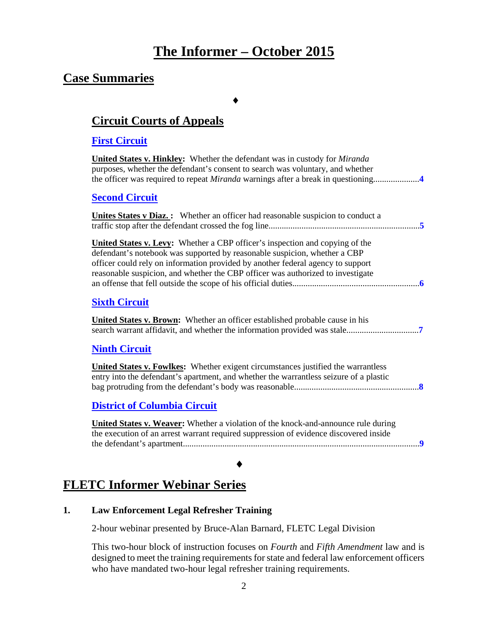# **The Informer – October 2015**

### **Case Summaries**

♦

### **[Circuit Courts of Appeals](#page-3-0)**

### **[First Circuit](#page-3-1)**

**United States v. Hinkley:** Whether the defendant was in custody for *Miranda* purposes, whether the defendant's consent to search was voluntary, and whether the officer was required to repeat *Miranda* warnings after a break in questioning.....................**[4](#page-3-2) [Second Circuit](#page-4-0) Unites States v Diaz. :** Whether an officer had reasonable suspicion to conduct a traffic stop after the defendant crossed the fog line.....................................................................**[5](#page-4-1) United States v. Levy:** Whether a CBP officer's inspection and copying of the defendant's notebook was supported by reasonable suspicion, whether a CBP officer could rely on information provided by another federal agency to support reasonable suspicion, and whether the CBP officer was authorized to investigate an offense that fell outside the scope of his official duties..........................................................**[6](#page-4-2) Sixth [Circuit](#page-6-0) United States v. Brown:** Whether an officer established probable cause in his search warrant affidavit, and whether the information provided was stale.................................**[7](#page-6-1) [Ninth Circuit](#page-7-0) United States v. Fowlkes:** Whether exigent circumstances justified the warrantless entry into the defendant's apartment, and whether the warrantless seizure of a plastic bag protruding from the defendant's body was reasonable.........................................................**[8](#page-7-1) [District of Columbia Circuit](#page-8-0)**

**United States v. Weaver:** Whether a violation of the knock-and-announce rule during the execution of an arrest warrant required suppression of evidence discovered inside the defendant's apartment............................................................................................................**[9](#page-8-1)**

### ♦

# **FLETC Informer Webinar Series**

### **1. Law Enforcement Legal Refresher Training**

2-hour webinar presented by Bruce-Alan Barnard, FLETC Legal Division

This two-hour block of instruction focuses on *Fourth* and *Fifth Amendment* law and is designed to meet the training requirements for state and federal law enforcement officers who have mandated two-hour legal refresher training requirements.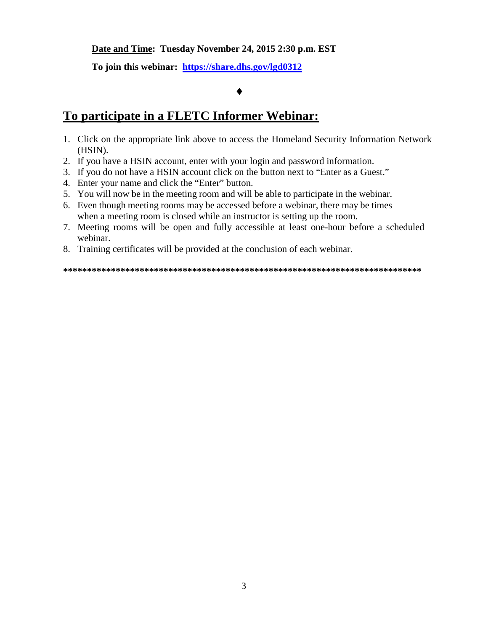### **Date and Time: Tuesday November 24, 2015 2:30 p.m. EST**

**To join this webinar: <https://share.dhs.gov/lgd0312>**

#### ♦

### **To participate in a FLETC Informer Webinar:**

- 1. Click on the appropriate link above to access the Homeland Security Information Network (HSIN).
- 2. If you have a HSIN account, enter with your login and password information.
- 3. If you do not have a HSIN account click on the button next to "Enter as a Guest."
- 4. Enter your name and click the "Enter" button.
- 5. You will now be in the meeting room and will be able to participate in the webinar.
- 6. Even though meeting rooms may be accessed before a webinar, there may be times when a meeting room is closed while an instructor is setting up the room.
- 7. Meeting rooms will be open and fully accessible at least one-hour before a scheduled webinar.
- 8. Training certificates will be provided at the conclusion of each webinar.

**\*\*\*\*\*\*\*\*\*\*\*\*\*\*\*\*\*\*\*\*\*\*\*\*\*\*\*\*\*\*\*\*\*\*\*\*\*\*\*\*\*\*\*\*\*\*\*\*\*\*\*\*\*\*\*\*\*\*\*\*\*\*\*\*\*\*\*\*\*\*\*\*\*\*\***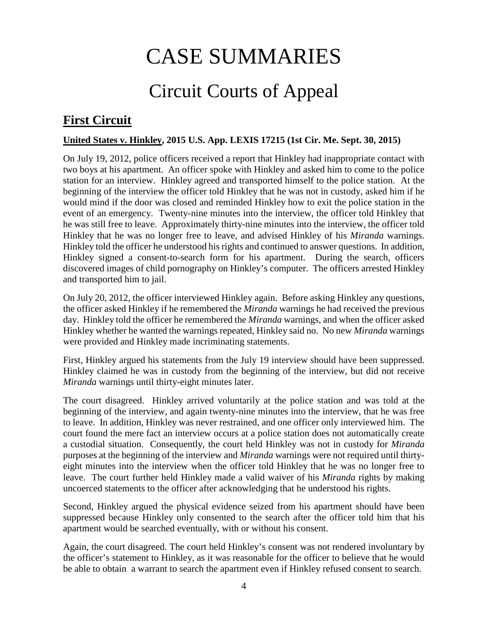# CASE SUMMARIES

# Circuit Courts of Appeal

# <span id="page-3-1"></span><span id="page-3-0"></span>**First Circuit**

### <span id="page-3-2"></span>**United States v. Hinkley, 2015 U.S. App. LEXIS 17215 (1st Cir. Me. Sept. 30, 2015)**

On July 19, 2012, police officers received a report that Hinkley had inappropriate contact with two boys at his apartment. An officer spoke with Hinkley and asked him to come to the police station for an interview. Hinkley agreed and transported himself to the police station. At the beginning of the interview the officer told Hinkley that he was not in custody, asked him if he would mind if the door was closed and reminded Hinkley how to exit the police station in the event of an emergency. Twenty-nine minutes into the interview, the officer told Hinkley that he was still free to leave. Approximately thirty-nine minutes into the interview, the officer told Hinkley that he was no longer free to leave, and advised Hinkley of his *Miranda* warnings. Hinkley told the officer he understood his rights and continued to answer questions. In addition, Hinkley signed a consent-to-search form for his apartment. During the search, officers discovered images of child pornography on Hinkley's computer. The officers arrested Hinkley and transported him to jail.

On July 20, 2012, the officer interviewed Hinkley again. Before asking Hinkley any questions, the officer asked Hinkley if he remembered the *Miranda* warnings he had received the previous day. Hinkley told the officer he remembered the *Miranda* warnings, and when the officer asked Hinkley whether he wanted the warnings repeated, Hinkley said no. No new *Miranda* warnings were provided and Hinkley made incriminating statements.

First, Hinkley argued his statements from the July 19 interview should have been suppressed. Hinkley claimed he was in custody from the beginning of the interview, but did not receive *Miranda* warnings until thirty-eight minutes later.

The court disagreed. Hinkley arrived voluntarily at the police station and was told at the beginning of the interview, and again twenty-nine minutes into the interview, that he was free to leave. In addition, Hinkley was never restrained, and one officer only interviewed him. The court found the mere fact an interview occurs at a police station does not automatically create a custodial situation. Consequently, the court held Hinkley was not in custody for *Miranda*  purposes at the beginning of the interview and *Miranda* warnings were not required until thirtyeight minutes into the interview when the officer told Hinkley that he was no longer free to leave. The court further held Hinkley made a valid waiver of his *Miranda* rights by making uncoerced statements to the officer after acknowledging that he understood his rights.

Second, Hinkley argued the physical evidence seized from his apartment should have been suppressed because Hinkley only consented to the search after the officer told him that his apartment would be searched eventually, with or without his consent.

Again, the court disagreed. The court held Hinkley's consent was not rendered involuntary by the officer's statement to Hinkley, as it was reasonable for the officer to believe that he would be able to obtain a warrant to search the apartment even if Hinkley refused consent to search.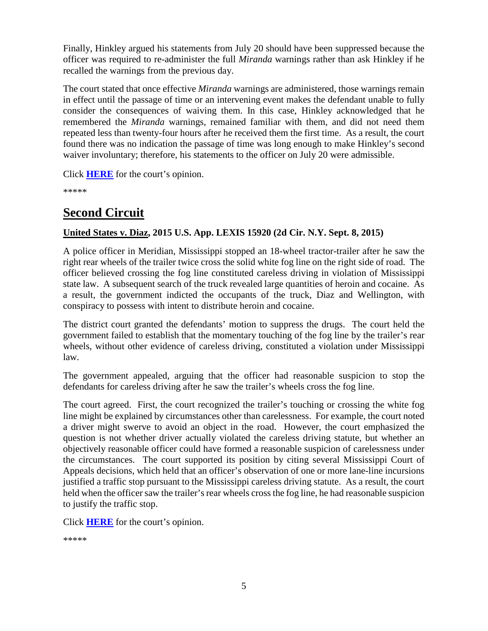Finally, Hinkley argued his statements from July 20 should have been suppressed because the officer was required to re-administer the full *Miranda* warnings rather than ask Hinkley if he recalled the warnings from the previous day.

The court stated that once effective *Miranda* warnings are administered, those warnings remain in effect until the passage of time or an intervening event makes the defendant unable to fully consider the consequences of waiving them. In this case, Hinkley acknowledged that he remembered the *Miranda* warnings, remained familiar with them, and did not need them repeated less than twenty-four hours after he received them the first time. As a result, the court found there was no indication the passage of time was long enough to make Hinkley's second waiver involuntary; therefore, his statements to the officer on July 20 were admissible.

Click **[HERE](http://cases.justia.com/federal/appellate-courts/ca1/14-1821/14-1821-2015-09-30.pdf?ts=1443645005)** for the court's opinion.

\*\*\*\*\*

## <span id="page-4-0"></span>**Second Circuit**

### <span id="page-4-1"></span>**United States v. Diaz, 2015 U.S. App. LEXIS 15920 (2d Cir. N.Y. Sept. 8, 2015)**

A police officer in Meridian, Mississippi stopped an 18-wheel tractor-trailer after he saw the right rear wheels of the trailer twice cross the solid white fog line on the right side of road. The officer believed crossing the fog line constituted careless driving in violation of Mississippi state law. A subsequent search of the truck revealed large quantities of heroin and cocaine. As a result, the government indicted the occupants of the truck, Diaz and Wellington, with conspiracy to possess with intent to distribute heroin and cocaine.

The district court granted the defendants' motion to suppress the drugs. The court held the government failed to establish that the momentary touching of the fog line by the trailer's rear wheels, without other evidence of careless driving, constituted a violation under Mississippi law.

The government appealed, arguing that the officer had reasonable suspicion to stop the defendants for careless driving after he saw the trailer's wheels cross the fog line.

The court agreed. First, the court recognized the trailer's touching or crossing the white fog line might be explained by circumstances other than carelessness. For example, the court noted a driver might swerve to avoid an object in the road. However, the court emphasized the question is not whether driver actually violated the careless driving statute, but whether an objectively reasonable officer could have formed a reasonable suspicion of carelessness under the circumstances. The court supported its position by citing several Mississippi Court of Appeals decisions, which held that an officer's observation of one or more lane-line incursions justified a traffic stop pursuant to the Mississippi careless driving statute. As a result, the court held when the officer saw the trailer's rear wheels cross the fog line, he had reasonable suspicion to justify the traffic stop.

Click **[HERE](http://cases.justia.com/federal/appellate-courts/ca2/14-2505/14-2505-2015-09-08.pdf?ts=1441722606)** for the court's opinion.

```
*****
```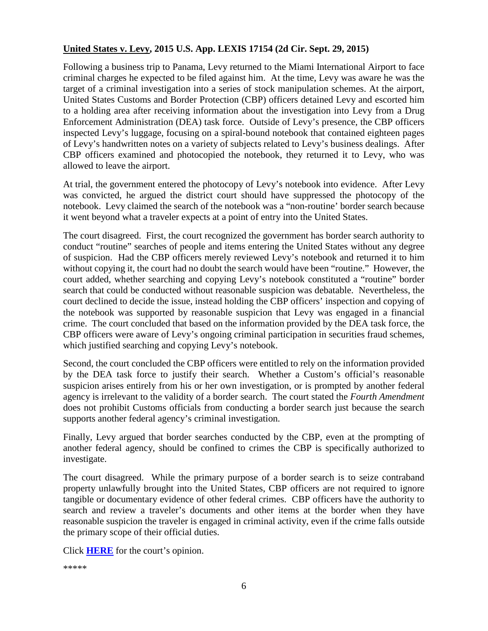### **United States v. Levy, 2015 U.S. App. LEXIS 17154 (2d Cir. Sept. 29, 2015)**

Following a business trip to Panama, Levy returned to the Miami International Airport to face criminal charges he expected to be filed against him. At the time, Levy was aware he was the target of a criminal investigation into a series of stock manipulation schemes. At the airport, United States Customs and Border Protection (CBP) officers detained Levy and escorted him to a holding area after receiving information about the investigation into Levy from a Drug Enforcement Administration (DEA) task force. Outside of Levy's presence, the CBP officers inspected Levy's luggage, focusing on a spiral-bound notebook that contained eighteen pages of Levy's handwritten notes on a variety of subjects related to Levy's business dealings. After CBP officers examined and photocopied the notebook, they returned it to Levy, who was allowed to leave the airport.

At trial, the government entered the photocopy of Levy's notebook into evidence. After Levy was convicted, he argued the district court should have suppressed the photocopy of the notebook. Levy claimed the search of the notebook was a "non-routine' border search because it went beyond what a traveler expects at a point of entry into the United States.

The court disagreed. First, the court recognized the government has border search authority to conduct "routine" searches of people and items entering the United States without any degree of suspicion. Had the CBP officers merely reviewed Levy's notebook and returned it to him without copying it, the court had no doubt the search would have been "routine." However, the court added, whether searching and copying Levy's notebook constituted a "routine" border search that could be conducted without reasonable suspicion was debatable. Nevertheless, the court declined to decide the issue, instead holding the CBP officers' inspection and copying of the notebook was supported by reasonable suspicion that Levy was engaged in a financial crime. The court concluded that based on the information provided by the DEA task force, the CBP officers were aware of Levy's ongoing criminal participation in securities fraud schemes, which justified searching and copying Levy's notebook.

Second, the court concluded the CBP officers were entitled to rely on the information provided by the DEA task force to justify their search. Whether a Custom's official's reasonable suspicion arises entirely from his or her own investigation, or is prompted by another federal agency is irrelevant to the validity of a border search. The court stated the *Fourth Amendment* does not prohibit Customs officials from conducting a border search just because the search supports another federal agency's criminal investigation.

Finally, Levy argued that border searches conducted by the CBP, even at the prompting of another federal agency, should be confined to crimes the CBP is specifically authorized to investigate.

The court disagreed. While the primary purpose of a border search is to seize contraband property unlawfully brought into the United States, CBP officers are not required to ignore tangible or documentary evidence of other federal crimes. CBP officers have the authority to search and review a traveler's documents and other items at the border when they have reasonable suspicion the traveler is engaged in criminal activity, even if the crime falls outside the primary scope of their official duties.

Click **[HERE](http://cases.justia.com/federal/appellate-courts/ca2/14-338/14-338-2015-09-29.pdf?ts=1443537006)** for the court's opinion.

\*\*\*\*\*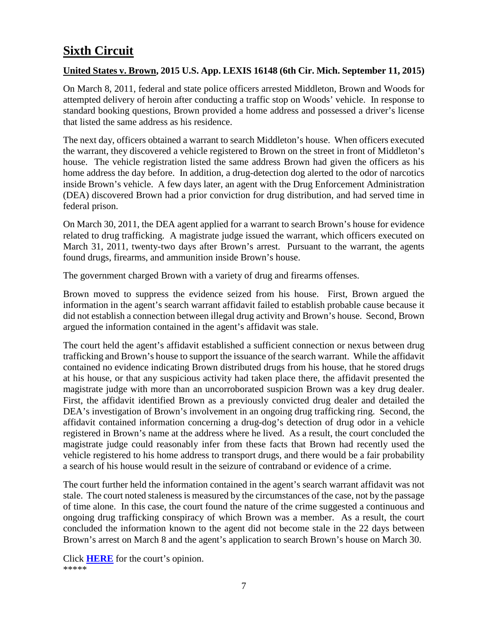# <span id="page-6-0"></span>**Sixth Circuit**

### <span id="page-6-1"></span>**United States v. Brown, 2015 U.S. App. LEXIS 16148 (6th Cir. Mich. September 11, 2015)**

On March 8, 2011, federal and state police officers arrested Middleton, Brown and Woods for attempted delivery of heroin after conducting a traffic stop on Woods' vehicle. In response to standard booking questions, Brown provided a home address and possessed a driver's license that listed the same address as his residence.

The next day, officers obtained a warrant to search Middleton's house. When officers executed the warrant, they discovered a vehicle registered to Brown on the street in front of Middleton's house. The vehicle registration listed the same address Brown had given the officers as his home address the day before. In addition, a drug-detection dog alerted to the odor of narcotics inside Brown's vehicle. A few days later, an agent with the Drug Enforcement Administration (DEA) discovered Brown had a prior conviction for drug distribution, and had served time in federal prison.

On March 30, 2011, the DEA agent applied for a warrant to search Brown's house for evidence related to drug trafficking. A magistrate judge issued the warrant, which officers executed on March 31, 2011, twenty-two days after Brown's arrest. Pursuant to the warrant, the agents found drugs, firearms, and ammunition inside Brown's house.

The government charged Brown with a variety of drug and firearms offenses.

Brown moved to suppress the evidence seized from his house. First, Brown argued the information in the agent's search warrant affidavit failed to establish probable cause because it did not establish a connection between illegal drug activity and Brown's house. Second, Brown argued the information contained in the agent's affidavit was stale.

The court held the agent's affidavit established a sufficient connection or nexus between drug trafficking and Brown's house to support the issuance of the search warrant. While the affidavit contained no evidence indicating Brown distributed drugs from his house, that he stored drugs at his house, or that any suspicious activity had taken place there, the affidavit presented the magistrate judge with more than an uncorroborated suspicion Brown was a key drug dealer. First, the affidavit identified Brown as a previously convicted drug dealer and detailed the DEA's investigation of Brown's involvement in an ongoing drug trafficking ring. Second, the affidavit contained information concerning a drug-dog's detection of drug odor in a vehicle registered in Brown's name at the address where he lived. As a result, the court concluded the magistrate judge could reasonably infer from these facts that Brown had recently used the vehicle registered to his home address to transport drugs, and there would be a fair probability a search of his house would result in the seizure of contraband or evidence of a crime.

The court further held the information contained in the agent's search warrant affidavit was not stale. The court noted staleness is measured by the circumstances of the case, not by the passage of time alone. In this case, the court found the nature of the crime suggested a continuous and ongoing drug trafficking conspiracy of which Brown was a member. As a result, the court concluded the information known to the agent did not become stale in the 22 days between Brown's arrest on March 8 and the agent's application to search Brown's house on March 30.

Click **[HERE](http://cases.justia.com/federal/appellate-courts/ca6/13-1761/13-1761-2015-09-11.pdf?ts=1441980068)** for the court's opinion. \*\*\*\*\*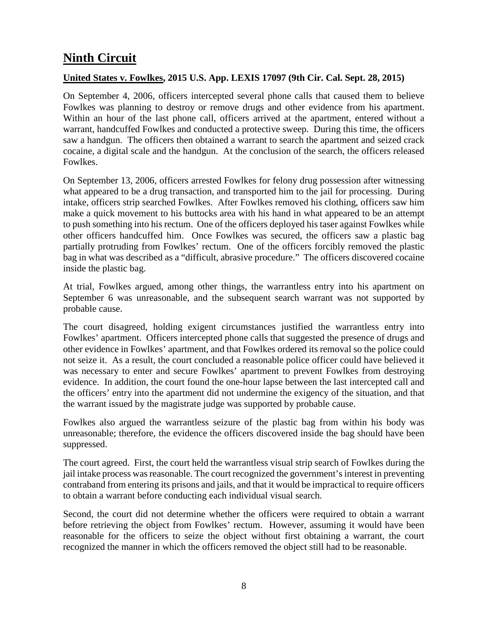# <span id="page-7-0"></span>**Ninth Circuit**

### <span id="page-7-1"></span>**United States v. Fowlkes, 2015 U.S. App. LEXIS 17097 (9th Cir. Cal. Sept. 28, 2015)**

On September 4, 2006, officers intercepted several phone calls that caused them to believe Fowlkes was planning to destroy or remove drugs and other evidence from his apartment. Within an hour of the last phone call, officers arrived at the apartment, entered without a warrant, handcuffed Fowlkes and conducted a protective sweep. During this time, the officers saw a handgun. The officers then obtained a warrant to search the apartment and seized crack cocaine, a digital scale and the handgun. At the conclusion of the search, the officers released Fowlkes.

On September 13, 2006, officers arrested Fowlkes for felony drug possession after witnessing what appeared to be a drug transaction, and transported him to the jail for processing. During intake, officers strip searched Fowlkes. After Fowlkes removed his clothing, officers saw him make a quick movement to his buttocks area with his hand in what appeared to be an attempt to push something into his rectum. One of the officers deployed his taser against Fowlkes while other officers handcuffed him. Once Fowlkes was secured, the officers saw a plastic bag partially protruding from Fowlkes' rectum. One of the officers forcibly removed the plastic bag in what was described as a "difficult, abrasive procedure." The officers discovered cocaine inside the plastic bag.

At trial, Fowlkes argued, among other things, the warrantless entry into his apartment on September 6 was unreasonable, and the subsequent search warrant was not supported by probable cause.

The court disagreed, holding exigent circumstances justified the warrantless entry into Fowlkes' apartment. Officers intercepted phone calls that suggested the presence of drugs and other evidence in Fowlkes' apartment, and that Fowlkes ordered its removal so the police could not seize it. As a result, the court concluded a reasonable police officer could have believed it was necessary to enter and secure Fowlkes' apartment to prevent Fowlkes from destroying evidence. In addition, the court found the one-hour lapse between the last intercepted call and the officers' entry into the apartment did not undermine the exigency of the situation, and that the warrant issued by the magistrate judge was supported by probable cause.

Fowlkes also argued the warrantless seizure of the plastic bag from within his body was unreasonable; therefore, the evidence the officers discovered inside the bag should have been suppressed.

The court agreed. First, the court held the warrantless visual strip search of Fowlkes during the jail intake process was reasonable. The court recognized the government's interest in preventing contraband from entering its prisons and jails, and that it would be impractical to require officers to obtain a warrant before conducting each individual visual search.

Second, the court did not determine whether the officers were required to obtain a warrant before retrieving the object from Fowlkes' rectum. However, assuming it would have been reasonable for the officers to seize the object without first obtaining a warrant, the court recognized the manner in which the officers removed the object still had to be reasonable.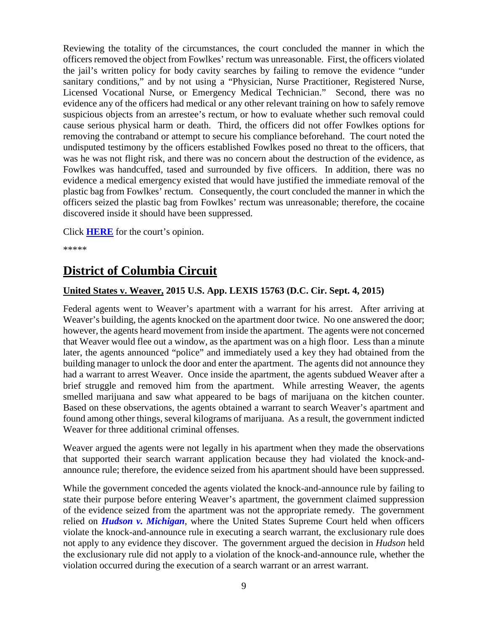Reviewing the totality of the circumstances, the court concluded the manner in which the officers removed the object from Fowlkes' rectum was unreasonable. First, the officers violated the jail's written policy for body cavity searches by failing to remove the evidence "under sanitary conditions," and by not using a "Physician, Nurse Practitioner, Registered Nurse, Licensed Vocational Nurse, or Emergency Medical Technician." Second, there was no evidence any of the officers had medical or any other relevant training on how to safely remove suspicious objects from an arrestee's rectum, or how to evaluate whether such removal could cause serious physical harm or death. Third, the officers did not offer Fowlkes options for removing the contraband or attempt to secure his compliance beforehand. The court noted the undisputed testimony by the officers established Fowlkes posed no threat to the officers, that was he was not flight risk, and there was no concern about the destruction of the evidence, as Fowlkes was handcuffed, tased and surrounded by five officers. In addition, there was no evidence a medical emergency existed that would have justified the immediate removal of the plastic bag from Fowlkes' rectum. Consequently, the court concluded the manner in which the officers seized the plastic bag from Fowlkes' rectum was unreasonable; therefore, the cocaine discovered inside it should have been suppressed.

Click **[HERE](http://cases.justia.com/federal/appellate-courts/ca9/11-50273/11-50273-2015-09-28.pdf?ts=1443459723)** for the court's opinion.

\*\*\*\*\*

# <span id="page-8-0"></span>**District of Columbia Circuit**

### <span id="page-8-1"></span>**United States v. Weaver, 2015 U.S. App. LEXIS 15763 (D.C. Cir. Sept. 4, 2015)**

Federal agents went to Weaver's apartment with a warrant for his arrest. After arriving at Weaver's building, the agents knocked on the apartment door twice. No one answered the door; however, the agents heard movement from inside the apartment. The agents were not concerned that Weaver would flee out a window, as the apartment was on a high floor. Less than a minute later, the agents announced "police" and immediately used a key they had obtained from the building manager to unlock the door and enter the apartment. The agents did not announce they had a warrant to arrest Weaver. Once inside the apartment, the agents subdued Weaver after a brief struggle and removed him from the apartment. While arresting Weaver, the agents smelled marijuana and saw what appeared to be bags of marijuana on the kitchen counter. Based on these observations, the agents obtained a warrant to search Weaver's apartment and found among other things, several kilograms of marijuana. As a result, the government indicted Weaver for three additional criminal offenses.

Weaver argued the agents were not legally in his apartment when they made the observations that supported their search warrant application because they had violated the knock-andannounce rule; therefore, the evidence seized from his apartment should have been suppressed.

While the government conceded the agents violated the knock-and-announce rule by failing to state their purpose before entering Weaver's apartment, the government claimed suppression of the evidence seized from the apartment was not the appropriate remedy. The government relied on *[Hudson v. Michigan](https://www.law.cornell.edu/supct/html/04-1360.ZO.html)*, where the United States Supreme Court held when officers violate the knock-and-announce rule in executing a search warrant, the exclusionary rule does not apply to any evidence they discover. The government argued the decision in *Hudson* held the exclusionary rule did not apply to a violation of the knock-and-announce rule, whether the violation occurred during the execution of a search warrant or an arrest warrant.